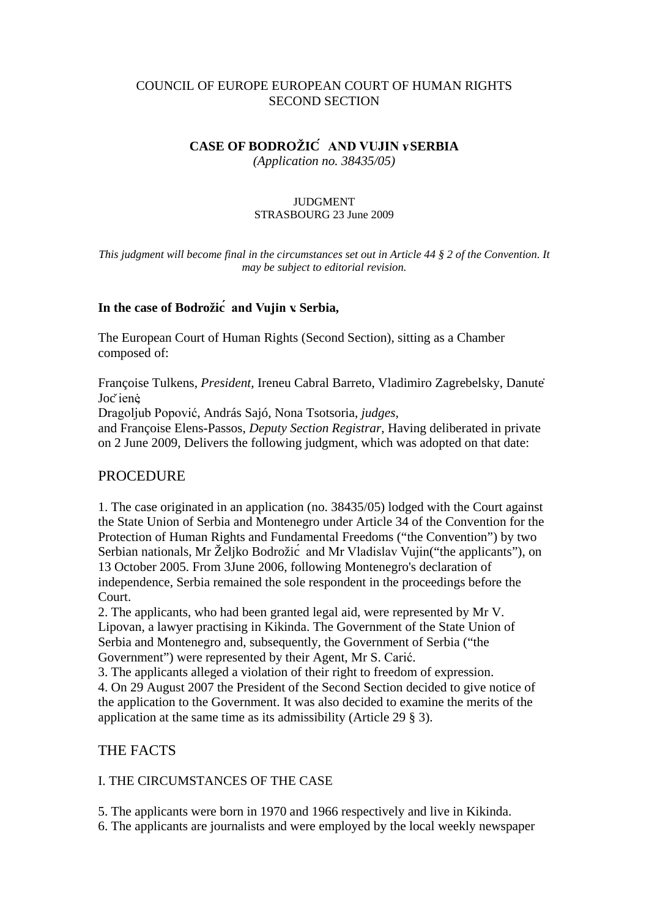### COUNCIL OF EUROPE EUROPEAN COURT OF HUMAN RIGHTS SECOND SECTION

## **CASE OF BODROŽIĆ AND VUJIN v. SERBIA**

*(Application no. 38435/05)*

#### JUDGMENT STRASBOURG 23 June 2009

*This judgment will become final in the circumstances set out in Article 44 § 2 of the Convention. It may be subject to editorial revision.*

### **In the case of Bodrožić and Vujin v. Serbia,**

The European Court of Human Rights (Second Section), sitting as a Chamber composed of:

Françoise Tulkens, *President,* Ireneu Cabral Barreto, Vladimiro Zagrebelsky, Danutė Joč ienė,

Dragoljub Popović, András Sajó, Nona Tsotsoria, *judges,*

and Françoise Elens-Passos, *Deputy Section Registrar*, Having deliberated in private on 2 June 2009, Delivers the following judgment, which was adopted on that date:

## PROCEDURE

1. The case originated in an application (no. 38435/05) lodged with the Court against the State Union of Serbia and Montenegro under Article 34 of the Convention for the Protection of Human Rights and Fundamental Freedoms ("the Convention") by two Serbian nationals, Mr Željko Bodrožic<sup> $\alpha$ </sup> and Mr Vladislav Vujin ("the applicants"), on 13 October 2005. From 3June 2006, following Montenegro's declaration of independence, Serbia remained the sole respondent in the proceedings before the Court.

2. The applicants, who had been granted legal aid, were represented by Mr V. Lipovan, a lawyer practising in Kikinda. The Government of the State Union of Serbia and Montenegro and, subsequently, the Government of Serbia ("the Government") were represented by their Agent, Mr S. Carić.

3. The applicants alleged a violation of their right to freedom of expression. 4. On 29 August 2007 the President of the Second Section decided to give notice of the application to the Government. It was also decided to examine the merits of the application at the same time as its admissibility (Article 29 § 3).

## THE FACTS

## I. THE CIRCUMSTANCES OF THE CASE

5. The applicants were born in 1970 and 1966 respectively and live in Kikinda.

6. The applicants are journalists and were employed by the local weekly newspaper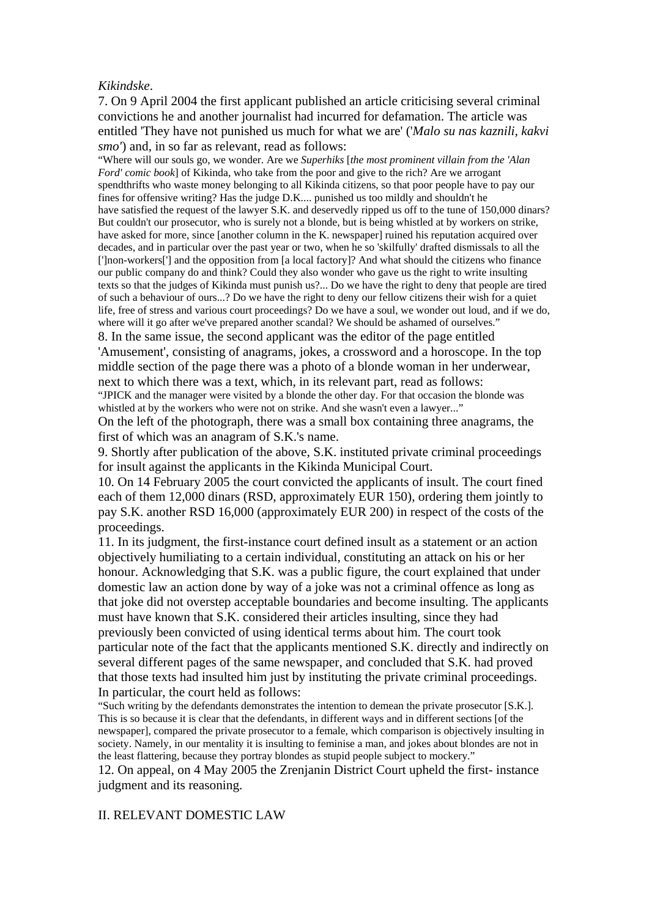### *Kikindske*.

7. On 9 April 2004 the first applicant published an article criticising several criminal convictions he and another journalist had incurred for defamation. The article was entitled 'They have not punished us much for what we are' ('*Malo su nas kaznili, kakvi smo'*) and, in so far as relevant, read as follows:

"Where will our souls go, we wonder. Are we *Superhiks* [*the most prominent villain from the 'Alan Ford' comic book*] of Kikinda, who take from the poor and give to the rich? Are we arrogant spendthrifts who waste money belonging to all Kikinda citizens, so that poor people have to pay our fines for offensive writing? Has the judge D.K.... punished us too mildly and shouldn't he have satisfied the request of the lawyer S.K. and deservedly ripped us off to the tune of 150,000 dinars? But couldn't our prosecutor, who is surely not a blonde, but is being whistled at by workers on strike, have asked for more, since [another column in the K. newspaper] ruined his reputation acquired over decades, and in particular over the past year or two, when he so 'skilfully' drafted dismissals to all the [']non-workers['] and the opposition from [a local factory]? And what should the citizens who finance our public company do and think? Could they also wonder who gave us the right to write insulting texts so that the judges of Kikinda must punish us?... Do we have the right to deny that people are tired of such a behaviour of ours...? Do we have the right to deny our fellow citizens their wish for a quiet life, free of stress and various court proceedings? Do we have a soul, we wonder out loud, and if we do, where will it go after we've prepared another scandal? We should be ashamed of ourselves." 8. In the same issue, the second applicant was the editor of the page entitled

'Amusement', consisting of anagrams, jokes, a crossword and a horoscope. In the top middle section of the page there was a photo of a blonde woman in her underwear, next to which there was a text, which, in its relevant part, read as follows:

"JPICK and the manager were visited by a blonde the other day. For that occasion the blonde was whistled at by the workers who were not on strike. And she wasn't even a lawyer..."

On the left of the photograph, there was a small box containing three anagrams, the first of which was an anagram of S.K.'s name.

9. Shortly after publication of the above, S.K. instituted private criminal proceedings for insult against the applicants in the Kikinda Municipal Court.

10. On 14 February 2005 the court convicted the applicants of insult. The court fined each of them 12,000 dinars (RSD, approximately EUR 150), ordering them jointly to pay S.K. another RSD 16,000 (approximately EUR 200) in respect of the costs of the proceedings.

11. In its judgment, the first-instance court defined insult as a statement or an action objectively humiliating to a certain individual, constituting an attack on his or her honour. Acknowledging that S.K. was a public figure, the court explained that under domestic law an action done by way of a joke was not a criminal offence as long as that joke did not overstep acceptable boundaries and become insulting. The applicants must have known that S.K. considered their articles insulting, since they had previously been convicted of using identical terms about him. The court took particular note of the fact that the applicants mentioned S.K. directly and indirectly on several different pages of the same newspaper, and concluded that S.K. had proved that those texts had insulted him just by instituting the private criminal proceedings. In particular, the court held as follows:

"Such writing by the defendants demonstrates the intention to demean the private prosecutor [S.K.]. This is so because it is clear that the defendants, in different ways and in different sections [of the newspaper], compared the private prosecutor to a female, which comparison is objectively insulting in society. Namely, in our mentality it is insulting to feminise a man, and jokes about blondes are not in the least flattering, because they portray blondes as stupid people subject to mockery."

12. On appeal, on 4 May 2005 the Zrenjanin District Court upheld the first- instance judgment and its reasoning.

### II. RELEVANT DOMESTIC LAW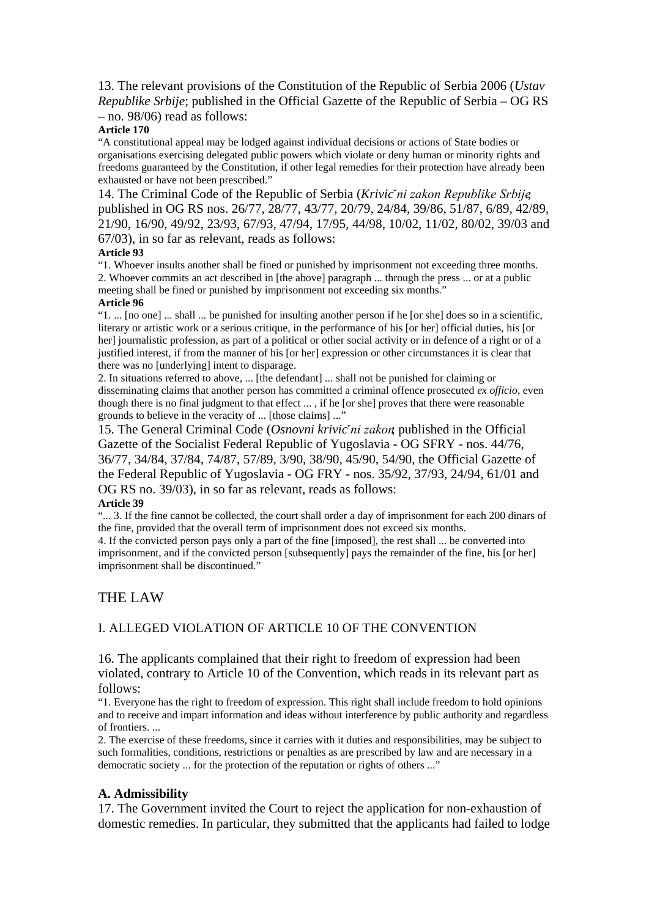13. The relevant provisions of the Constitution of the Republic of Serbia 2006 (*Ustav Republike Srbije*; published in the Official Gazette of the Republic of Serbia – OG RS – no. 98/06) read as follows:

#### **Article 170**

"A constitutional appeal may be lodged against individual decisions or actions of State bodies or organisations exercising delegated public powers which violate or deny human or minority rights and freedoms guaranteed by the Constitution, if other legal remedies for their protection have already been exhausted or have not been prescribed."

14. The Criminal Code of the Republic of Serbia (*Krivič ni zakon Republike Srbije*; published in OG RS nos. 26/77, 28/77, 43/77, 20/79, 24/84, 39/86, 51/87, 6/89, 42/89, 21/90, 16/90, 49/92, 23/93, 67/93, 47/94, 17/95, 44/98, 10/02, 11/02, 80/02, 39/03 and 67/03), in so far as relevant, reads as follows:

#### **Article 93**

"1. Whoever insults another shall be fined or punished by imprisonment not exceeding three months. 2. Whoever commits an act described in [the above] paragraph ... through the press ... or at a public meeting shall be fined or punished by imprisonment not exceeding six months."

#### **Article 96**

"1. ... [no one] ... shall ... be punished for insulting another person if he [or she] does so in a scientific, literary or artistic work or a serious critique, in the performance of his [or her] official duties, his [or her] journalistic profession, as part of a political or other social activity or in defence of a right or of a justified interest, if from the manner of his [or her] expression or other circumstances it is clear that there was no [underlying] intent to disparage.

2. In situations referred to above, ... [the defendant] ... shall not be punished for claiming or disseminating claims that another person has committed a criminal offence prosecuted *ex officio*, even though there is no final judgment to that effect ... , if he [or she] proves that there were reasonable grounds to believe in the veracity of ... [those claims] ..."

15. The General Criminal Code (*Osnovni krivič ni zakon*; published in the Official Gazette of the Socialist Federal Republic of Yugoslavia - OG SFRY - nos. 44/76, 36/77, 34/84, 37/84, 74/87, 57/89, 3/90, 38/90, 45/90, 54/90, the Official Gazette of the Federal Republic of Yugoslavia - OG FRY - nos. 35/92, 37/93, 24/94, 61/01 and OG RS no. 39/03), in so far as relevant, reads as follows: **Article 39**

"... 3. If the fine cannot be collected, the court shall order a day of imprisonment for each 200 dinars of the fine, provided that the overall term of imprisonment does not exceed six months.

4. If the convicted person pays only a part of the fine [imposed], the rest shall ... be converted into imprisonment, and if the convicted person [subsequently] pays the remainder of the fine, his [or her] imprisonment shall be discontinued."

#### THE LAW

### I. ALLEGED VIOLATION OF ARTICLE 10 OF THE CONVENTION

16. The applicants complained that their right to freedom of expression had been violated, contrary to Article 10 of the Convention, which reads in its relevant part as follows:

"1. Everyone has the right to freedom of expression. This right shall include freedom to hold opinions and to receive and impart information and ideas without interference by public authority and regardless of frontiers. ...

2. The exercise of these freedoms, since it carries with it duties and responsibilities, may be subject to such formalities, conditions, restrictions or penalties as are prescribed by law and are necessary in a democratic society ... for the protection of the reputation or rights of others ..."

#### **A. Admissibility**

17. The Government invited the Court to reject the application for non-exhaustion of domestic remedies. In particular, they submitted that the applicants had failed to lodge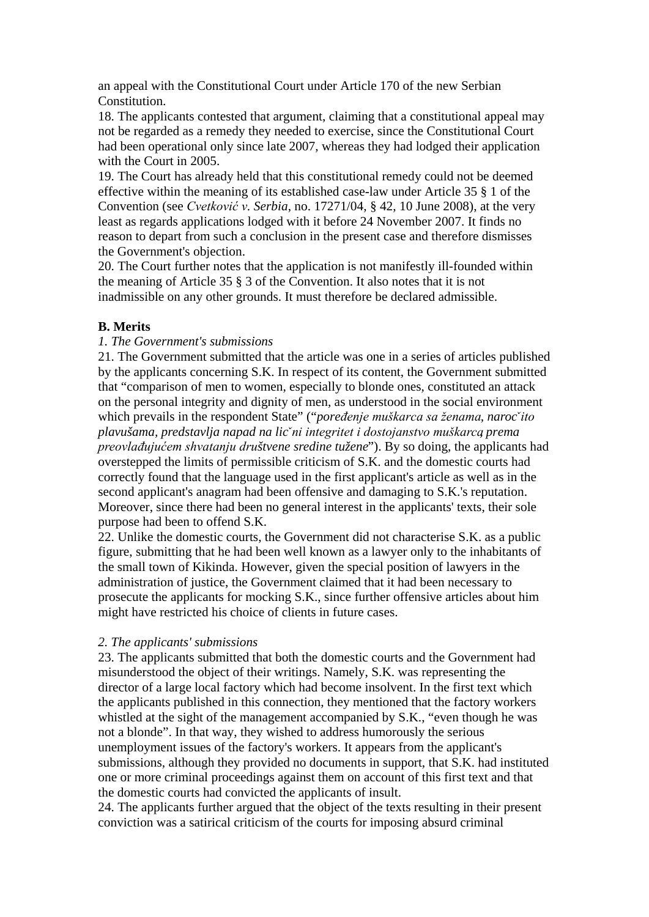an appeal with the Constitutional Court under Article 170 of the new Serbian Constitution.

18. The applicants contested that argument, claiming that a constitutional appeal may not be regarded as a remedy they needed to exercise, since the Constitutional Court had been operational only since late 2007, whereas they had lodged their application with the Court in 2005.

19. The Court has already held that this constitutional remedy could not be deemed effective within the meaning of its established case-law under Article 35 § 1 of the Convention (see *Cvetković v. Serbia*, no. 17271/04, § 42, 10 June 2008), at the very least as regards applications lodged with it before 24 November 2007. It finds no reason to depart from such a conclusion in the present case and therefore dismisses the Government's objection.

20. The Court further notes that the application is not manifestly ill-founded within the meaning of Article 35 § 3 of the Convention. It also notes that it is not inadmissible on any other grounds. It must therefore be declared admissible.

## **B. Merits**

### *1. The Government's submissions*

21. The Government submitted that the article was one in a series of articles published by the applicants concerning S.K. In respect of its content, the Government submitted that "comparison of men to women, especially to blonde ones, constituted an attack on the personal integrity and dignity of men, as understood in the social environment which prevails in the respondent State" ("*poređenje muškarca sa ženama, naroč ito plavušama, predstavlja napad na lič ni integritet i dostojanstvo muškarca, prema preovlađujućem shvatanju društvene sredine tužene*"). By so doing, the applicants had overstepped the limits of permissible criticism of S.K. and the domestic courts had correctly found that the language used in the first applicant's article as well as in the second applicant's anagram had been offensive and damaging to S.K.'s reputation. Moreover, since there had been no general interest in the applicants' texts, their sole purpose had been to offend S.K.

22. Unlike the domestic courts, the Government did not characterise S.K. as a public figure, submitting that he had been well known as a lawyer only to the inhabitants of the small town of Kikinda. However, given the special position of lawyers in the administration of justice, the Government claimed that it had been necessary to prosecute the applicants for mocking S.K., since further offensive articles about him might have restricted his choice of clients in future cases.

### *2. The applicants' submissions*

23. The applicants submitted that both the domestic courts and the Government had misunderstood the object of their writings. Namely, S.K. was representing the director of a large local factory which had become insolvent. In the first text which the applicants published in this connection, they mentioned that the factory workers whistled at the sight of the management accompanied by S.K., "even though he was not a blonde". In that way, they wished to address humorously the serious unemployment issues of the factory's workers. It appears from the applicant's submissions, although they provided no documents in support, that S.K. had instituted one or more criminal proceedings against them on account of this first text and that the domestic courts had convicted the applicants of insult.

24. The applicants further argued that the object of the texts resulting in their present conviction was a satirical criticism of the courts for imposing absurd criminal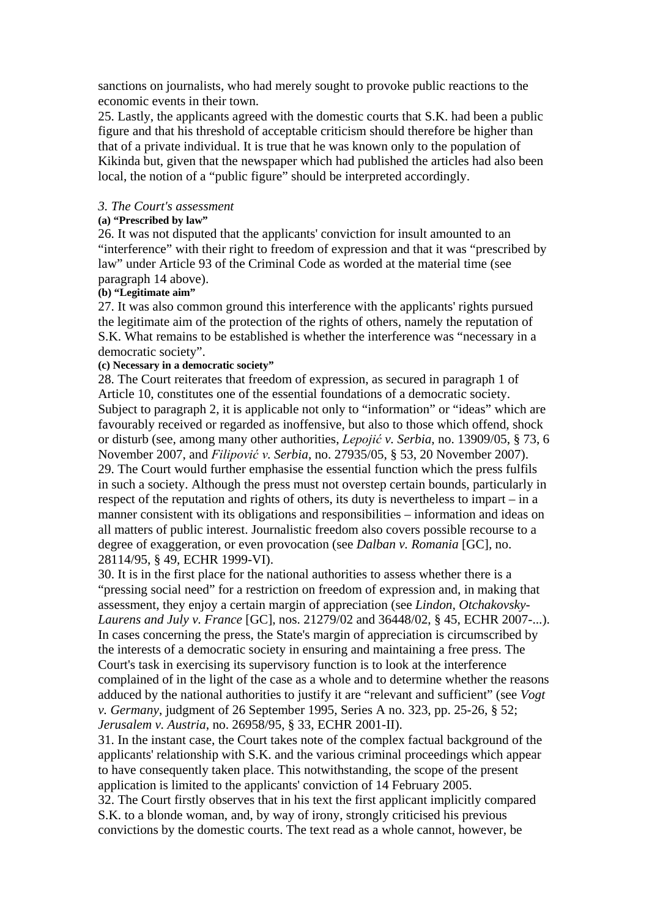sanctions on journalists, who had merely sought to provoke public reactions to the economic events in their town.

25. Lastly, the applicants agreed with the domestic courts that S.K. had been a public figure and that his threshold of acceptable criticism should therefore be higher than that of a private individual. It is true that he was known only to the population of Kikinda but, given that the newspaper which had published the articles had also been local, the notion of a "public figure" should be interpreted accordingly.

#### *3. The Court's assessment*

### **(a) "Prescribed by law"**

26. It was not disputed that the applicants' conviction for insult amounted to an "interference" with their right to freedom of expression and that it was "prescribed by law" under Article 93 of the Criminal Code as worded at the material time (see paragraph 14 above).

### **(b) "Legitimate aim"**

27. It was also common ground this interference with the applicants' rights pursued the legitimate aim of the protection of the rights of others, namely the reputation of S.K. What remains to be established is whether the interference was "necessary in a democratic society".

### **(c) Necessary in a democratic society"**

28. The Court reiterates that freedom of expression, as secured in paragraph 1 of Article 10, constitutes one of the essential foundations of a democratic society. Subject to paragraph 2, it is applicable not only to "information" or "ideas" which are favourably received or regarded as inoffensive, but also to those which offend, shock or disturb (see, among many other authorities, *Lepojić v. Serbia*, no. 13909/05, § 73, 6 November 2007, and *Filipović v. Serbia*, no. 27935/05, § 53, 20 November 2007). 29. The Court would further emphasise the essential function which the press fulfils in such a society. Although the press must not overstep certain bounds, particularly in respect of the reputation and rights of others, its duty is nevertheless to impart – in a manner consistent with its obligations and responsibilities – information and ideas on all matters of public interest. Journalistic freedom also covers possible recourse to a degree of exaggeration, or even provocation (see *Dalban v. Romania* [GC], no. 28114/95, § 49, ECHR 1999-VI).

30. It is in the first place for the national authorities to assess whether there is a "pressing social need" for a restriction on freedom of expression and, in making that assessment, they enjoy a certain margin of appreciation (see *Lindon, Otchakovsky-Laurens and July v. France* [GC], nos. 21279/02 and 36448/02, § 45, ECHR 2007-...). In cases concerning the press, the State's margin of appreciation is circumscribed by the interests of a democratic society in ensuring and maintaining a free press. The Court's task in exercising its supervisory function is to look at the interference complained of in the light of the case as a whole and to determine whether the reasons adduced by the national authorities to justify it are "relevant and sufficient" (see *Vogt v. Germany*, judgment of 26 September 1995, Series A no. 323, pp. 25-26, § 52; *Jerusalem v. Austria*, no. 26958/95, § 33, ECHR 2001-II).

31. In the instant case, the Court takes note of the complex factual background of the applicants' relationship with S.K. and the various criminal proceedings which appear to have consequently taken place. This notwithstanding, the scope of the present application is limited to the applicants' conviction of 14 February 2005. 32. The Court firstly observes that in his text the first applicant implicitly compared S.K. to a blonde woman, and, by way of irony, strongly criticised his previous convictions by the domestic courts. The text read as a whole cannot, however, be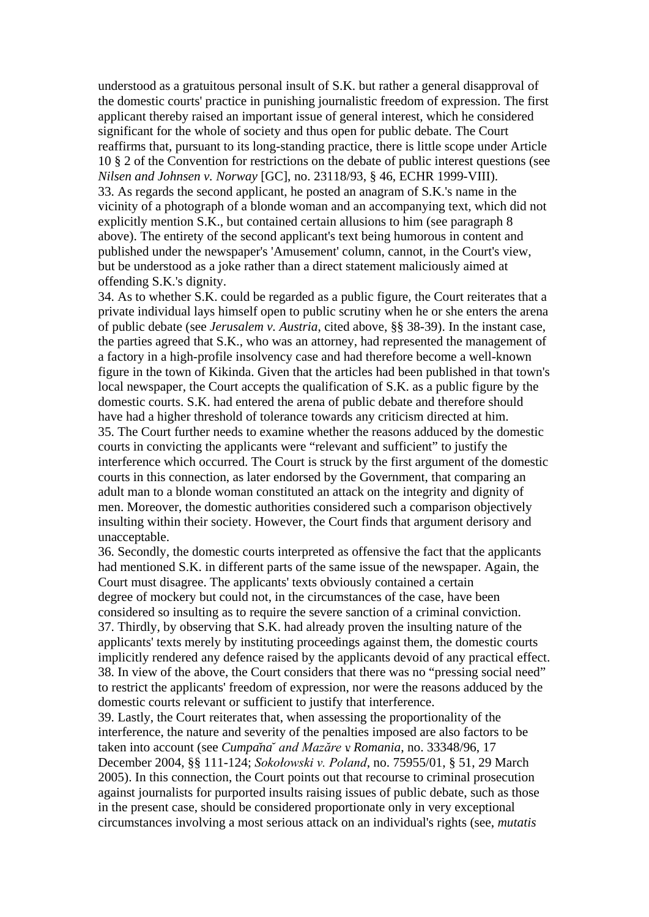understood as a gratuitous personal insult of S.K. but rather a general disapproval of the domestic courts' practice in punishing journalistic freedom of expression. The first applicant thereby raised an important issue of general interest, which he considered significant for the whole of society and thus open for public debate. The Court reaffirms that, pursuant to its long-standing practice, there is little scope under Article 10 § 2 of the Convention for restrictions on the debate of public interest questions (see *Nilsen and Johnsen v. Norway* [GC], no. 23118/93, § 46, ECHR 1999-VIII). 33. As regards the second applicant, he posted an anagram of S.K.'s name in the vicinity of a photograph of a blonde woman and an accompanying text, which did not explicitly mention S.K., but contained certain allusions to him (see paragraph 8 above). The entirety of the second applicant's text being humorous in content and published under the newspaper's 'Amusement' column, cannot, in the Court's view, but be understood as a joke rather than a direct statement maliciously aimed at offending S.K.'s dignity.

34. As to whether S.K. could be regarded as a public figure, the Court reiterates that a private individual lays himself open to public scrutiny when he or she enters the arena of public debate (see *Jerusalem v. Austria*, cited above, §§ 38-39). In the instant case, the parties agreed that S.K., who was an attorney, had represented the management of a factory in a high-profile insolvency case and had therefore become a well-known figure in the town of Kikinda. Given that the articles had been published in that town's local newspaper, the Court accepts the qualification of S.K. as a public figure by the domestic courts. S.K. had entered the arena of public debate and therefore should have had a higher threshold of tolerance towards any criticism directed at him. 35. The Court further needs to examine whether the reasons adduced by the domestic courts in convicting the applicants were "relevant and sufficient" to justify the interference which occurred. The Court is struck by the first argument of the domestic courts in this connection, as later endorsed by the Government, that comparing an adult man to a blonde woman constituted an attack on the integrity and dignity of men. Moreover, the domestic authorities considered such a comparison objectively insulting within their society. However, the Court finds that argument derisory and unacceptable.

36. Secondly, the domestic courts interpreted as offensive the fact that the applicants had mentioned S.K. in different parts of the same issue of the newspaper. Again, the Court must disagree. The applicants' texts obviously contained a certain degree of mockery but could not, in the circumstances of the case, have been considered so insulting as to require the severe sanction of a criminal conviction. 37. Thirdly, by observing that S.K. had already proven the insulting nature of the applicants' texts merely by instituting proceedings against them, the domestic courts implicitly rendered any defence raised by the applicants devoid of any practical effect. 38. In view of the above, the Court considers that there was no "pressing social need" to restrict the applicants' freedom of expression, nor were the reasons adduced by the domestic courts relevant or sufficient to justify that interference.

39. Lastly, the Court reiterates that, when assessing the proportionality of the interference, the nature and severity of the penalties imposed are also factors to be taken into account (see *Cumpănă and Mazăre v. Romania*, no. 33348/96, 17 December 2004, §§ 111-124; *Sokołowski v. Poland*, no. 75955/01, § 51, 29 March 2005). In this connection, the Court points out that recourse to criminal prosecution against journalists for purported insults raising issues of public debate, such as those in the present case, should be considered proportionate only in very exceptional circumstances involving a most serious attack on an individual's rights (see, *mutatis*